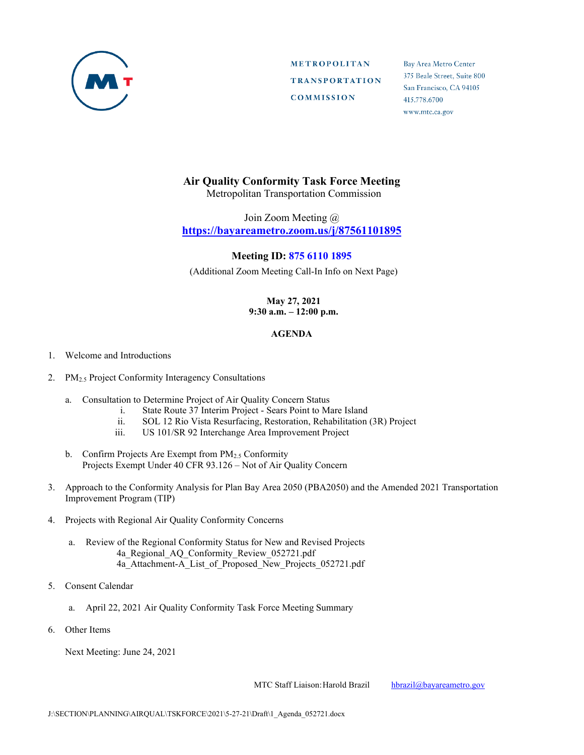

**METROPOLITAN TRANSPORTATION COMMISSION** 

Bay Area Metro Center 375 Beale Street, Suite 800 San Francisco, CA 94105 415.778.6700 www.mtc.ca.gov

## **Air Quality Conformity Task Force Meeting**

Metropolitan Transportation Commission

Join Zoom Meeting @ **<https://bayareametro.zoom.us/j/87561101895>**

## **Meeting ID: 875 6110 1895**

(Additional Zoom Meeting Call-In Info on Next Page)

## **May 27, 2021 9:30 a.m. – 12:00 p.m.**

## **AGENDA**

- 1. Welcome and Introductions
- 2. PM2.5 Project Conformity Interagency Consultations
	- a. Consultation to Determine Project of Air Quality Concern Status
		- i. State Route 37 Interim Project Sears Point to Mare Island
		- ii. SOL 12 Rio Vista Resurfacing, Restoration, Rehabilitation (3R) Project
		- iii. US 101/SR 92 Interchange Area Improvement Project
	- b. Confirm Projects Are Exempt from PM<sub>2.5</sub> Conformity Projects Exempt Under 40 CFR 93.126 – Not of Air Quality Concern
- 3. Approach to the Conformity Analysis for Plan Bay Area 2050 (PBA2050) and the Amended 2021 Transportation Improvement Program (TIP)
- 4. Projects with Regional Air Quality Conformity Concerns
	- a. Review of the Regional Conformity Status for New and Revised Projects 4a Regional AQ Conformity Review 052721.pdf 4a Attachment-A List of Proposed New Projects 052721.pdf
- 5. Consent Calendar
	- a. April 22, 2021 Air Quality Conformity Task Force Meeting Summary
- 6. Other Items

Next Meeting: June 24, 2021

MTC Staff Liaison: Harold Brazil [hbrazil@bayareametro.gov](mailto:hbrazil@bayareametro.gov)